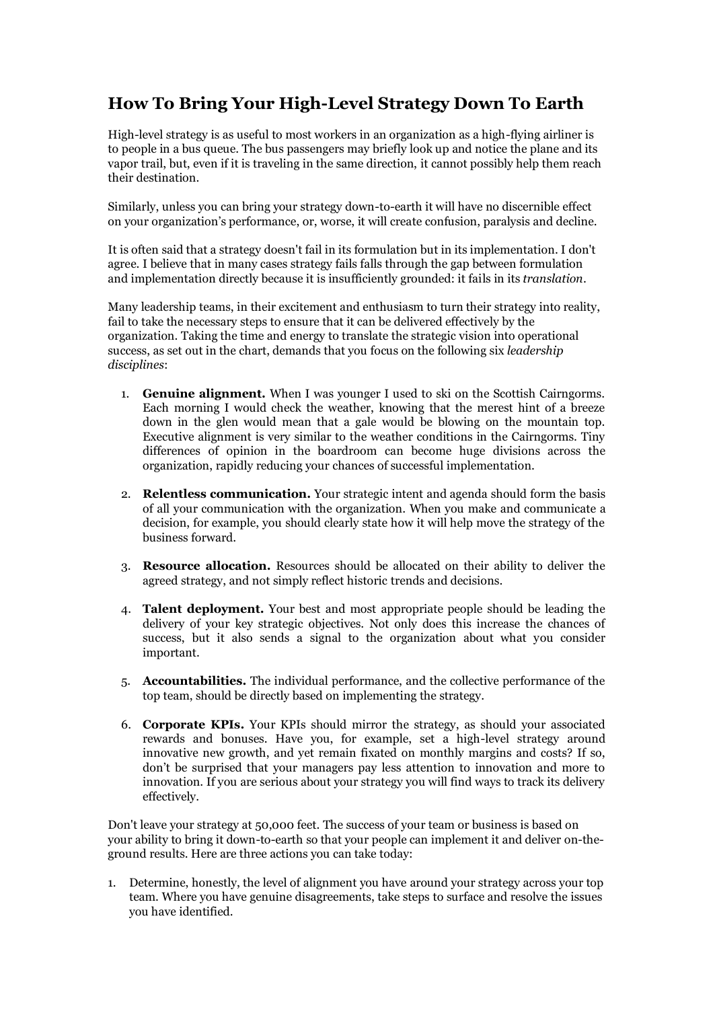## **How To Bring Your High-Level Strategy Down To Earth**

High-level strategy is as useful to most workers in an organization as a high-flying airliner is to people in a bus queue. The bus passengers may briefly look up and notice the plane and its vapor trail, but, even if it is traveling in the same direction, it cannot possibly help them reach their destination.

Similarly, unless you can bring your strategy down-to-earth it will have no discernible effect on your organization's performance, or, worse, it will create confusion, paralysis and decline.

It is often said that a strategy doesn't fail in its formulation but in its implementation. I don't agree. I believe that in many cases strategy fails falls through the gap between formulation and implementation directly because it is insufficiently grounded: it fails in its *translation*.

Many leadership teams, in their excitement and enthusiasm to turn their strategy into reality, fail to take the necessary steps to ensure that it can be delivered effectively by the organization. Taking the time and energy to translate the strategic vision into operational success, as set out in the chart, demands that you focus on the following six *leadership disciplines*:

- 1. **Genuine alignment.** When I was younger I used to ski on the Scottish Cairngorms. Each morning I would check the weather, knowing that the merest hint of a breeze down in the glen would mean that a gale would be blowing on the mountain top. Executive alignment is very similar to the weather conditions in the Cairngorms. Tiny differences of opinion in the boardroom can become huge divisions across the organization, rapidly reducing your chances of successful implementation.
- 2. **Relentless communication.** Your strategic intent and agenda should form the basis of all your communication with the organization. When you make and communicate a decision, for example, you should clearly state how it will help move the strategy of the business forward.
- 3. **Resource allocation.** Resources should be allocated on their ability to deliver the agreed strategy, and not simply reflect historic trends and decisions.
- 4. **Talent deployment.** Your best and most appropriate people should be leading the delivery of your key strategic objectives. Not only does this increase the chances of success, but it also sends a signal to the organization about what you consider important.
- 5. **Accountabilities.** The individual performance, and the collective performance of the top team, should be directly based on implementing the strategy.
- 6. **Corporate KPIs.** Your KPIs should mirror the strategy, as should your associated rewards and bonuses. Have you, for example, set a high-level strategy around innovative new growth, and yet remain fixated on monthly margins and costs? If so, don't be surprised that your managers pay less attention to innovation and more to innovation. If you are serious about your strategy you will find ways to track its delivery effectively.

Don't leave your strategy at 50,000 feet. The success of your team or business is based on your ability to bring it down-to-earth so that your people can implement it and deliver on-theground results. Here are three actions you can take today:

1. Determine, honestly, the level of alignment you have around your strategy across your top team. Where you have genuine disagreements, take steps to surface and resolve the issues you have identified.